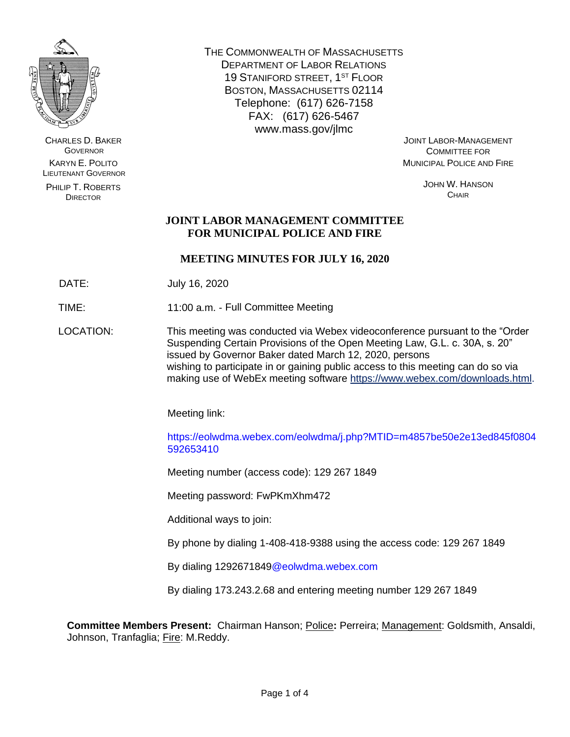

CHARLES D. BAKER **GOVERNOR** KARYN E. POLITO LIEUTENANT GOVERNOR

PHILIP T. ROBERTS DIRECTOR

THE COMMONWEALTH OF MASSACHUSETTS DEPARTMENT OF LABOR RELATIONS 19 STANIFORD STREET, 1ST FLOOR BOSTON, MASSACHUSETTS 02114 Telephone: (617) 626-7158 FAX: (617) 626-5467 www.mass.gov/jlmc

JOINT LABOR-MANAGEMENT COMMITTEE FOR MUNICIPAL POLICE AND FIRE

> JOHN W. HANSON **CHAIR**

# **JOINT LABOR MANAGEMENT COMMITTEE FOR MUNICIPAL POLICE AND FIRE**

# **MEETING MINUTES FOR JULY 16, 2020**

DATE: July 16, 2020

TIME: 11:00 a.m. - Full Committee Meeting

LOCATION: This meeting was conducted via Webex videoconference pursuant to the "Order Suspending Certain Provisions of the Open Meeting Law, G.L. c. 30A, s. 20" issued by Governor Baker dated March 12, 2020, persons wishing to participate in or gaining public access to this meeting can do so via making use of WebEx meeting software [https://www.webex.com/downloads.html.](https://www.webex.com/downloads.html)

Meeting link:

https://eolwdma.webex.com/eolwdma/j.php?MTID=m4857be50e2e13ed845f0804 592653410

Meeting number (access code): 129 267 1849

Meeting password: FwPKmXhm472

Additional ways to join:

By phone by dialing 1-408-418-9388 using the access code: 129 267 1849

By dialing 1292671849@eolwdma.webex.com

By dialing 173.243.2.68 and entering meeting number 129 267 1849

**Committee Members Present:** Chairman Hanson; Police**:** Perreira; Management: Goldsmith, Ansaldi, Johnson, Tranfaglia; Fire: M.Reddy.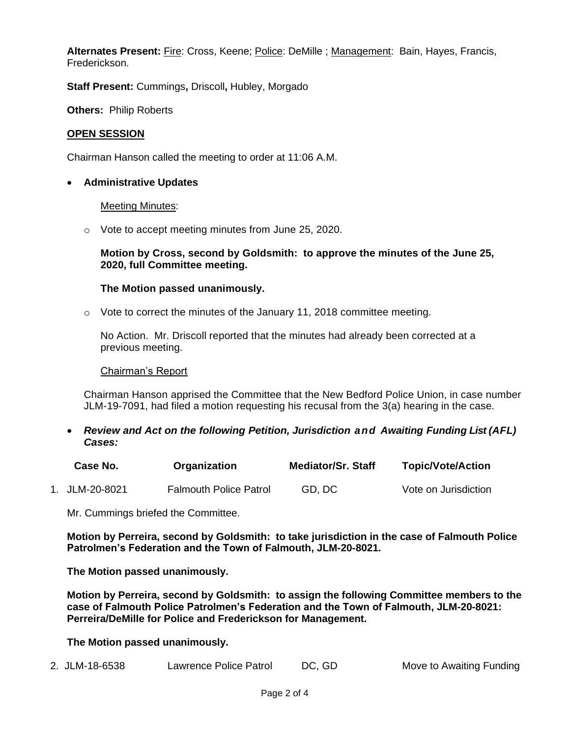**Alternates Present:** Fire: Cross, Keene; Police: DeMille ; Management: Bain, Hayes, Francis, Frederickson.

**Staff Present:** Cummings**,** Driscoll**,** Hubley, Morgado

**Others:** Philip Roberts

## **OPEN SESSION**

Chairman Hanson called the meeting to order at 11:06 A.M.

## • **Administrative Updates**

### Meeting Minutes:

o Vote to accept meeting minutes from June 25, 2020.

## **Motion by Cross, second by Goldsmith: to approve the minutes of the June 25, 2020, full Committee meeting.**

## **The Motion passed unanimously.**

o Vote to correct the minutes of the January 11, 2018 committee meeting.

No Action. Mr. Driscoll reported that the minutes had already been corrected at a previous meeting.

### Chairman's Report

Chairman Hanson apprised the Committee that the New Bedford Police Union, in case number JLM-19-7091, had filed a motion requesting his recusal from the 3(a) hearing in the case.

• *Review and Act on the following Petition, Jurisdiction and Awaiting Funding List (AFL) Cases:*

| Case No.       | Organization                  | <b>Mediator/Sr. Staff</b> | <b>Topic/Vote/Action</b> |
|----------------|-------------------------------|---------------------------|--------------------------|
| 1. JLM-20-8021 | <b>Falmouth Police Patrol</b> | GD, DC                    | Vote on Jurisdiction     |

Mr. Cummings briefed the Committee.

**Motion by Perreira, second by Goldsmith: to take jurisdiction in the case of Falmouth Police Patrolmen's Federation and the Town of Falmouth, JLM-20-8021.**

**The Motion passed unanimously.**

**Motion by Perreira, second by Goldsmith: to assign the following Committee members to the case of Falmouth Police Patrolmen's Federation and the Town of Falmouth, JLM-20-8021: Perreira/DeMille for Police and Frederickson for Management.**

**The Motion passed unanimously.**

2. JLM-18-6538 Lawrence Police Patrol DC, GD Move to Awaiting Funding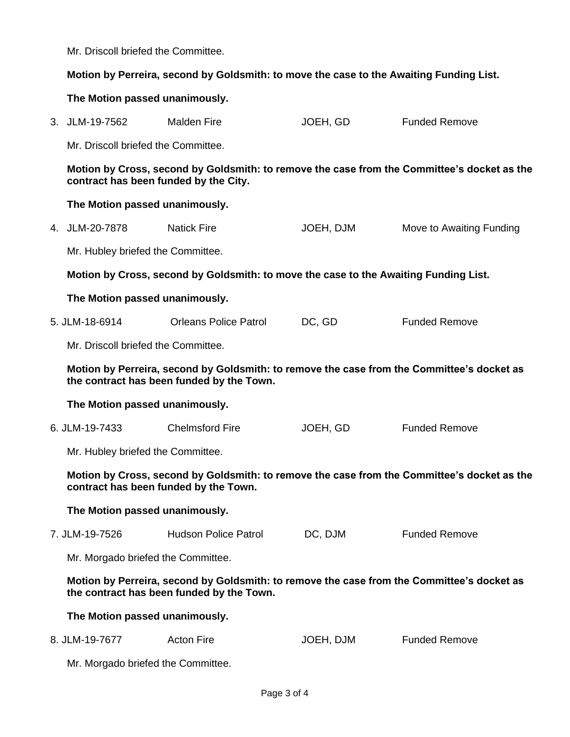Mr. Driscoll briefed the Committee.

## **Motion by Perreira, second by Goldsmith: to move the case to the Awaiting Funding List.**

## **The Motion passed unanimously.**

3. JLM-19-7562 Malden Fire **JOEH, GD Funded Remove** 

Mr. Driscoll briefed the Committee.

**Motion by Cross, second by Goldsmith: to remove the case from the Committee's docket as the contract has been funded by the City.**

## **The Motion passed unanimously.**

4. JLM-20-7878 Natick Fire **JOEH, DJM** Move to Awaiting Funding

Mr. Hubley briefed the Committee.

**Motion by Cross, second by Goldsmith: to move the case to the Awaiting Funding List.** 

### **The Motion passed unanimously.**

5. JLM-18-6914 Orleans Police Patrol DC, GD Funded Remove

Mr. Driscoll briefed the Committee.

**Motion by Perreira, second by Goldsmith: to remove the case from the Committee's docket as the contract has been funded by the Town.**

#### **The Motion passed unanimously.**

6. JLM-19-7433 Chelmsford Fire JOEH, GD Funded Remove

Mr. Hubley briefed the Committee.

**Motion by Cross, second by Goldsmith: to remove the case from the Committee's docket as the contract has been funded by the Town.**

### **The Motion passed unanimously.**

7. JLM-19-7526 Hudson Police Patrol DC, DJM Funded Remove

Mr. Morgado briefed the Committee.

**Motion by Perreira, second by Goldsmith: to remove the case from the Committee's docket as the contract has been funded by the Town.**

### **The Motion passed unanimously.**

8. JLM-19-7677 Acton Fire **Actom Fire** JOEH, DJM Funded Remove

Mr. Morgado briefed the Committee.